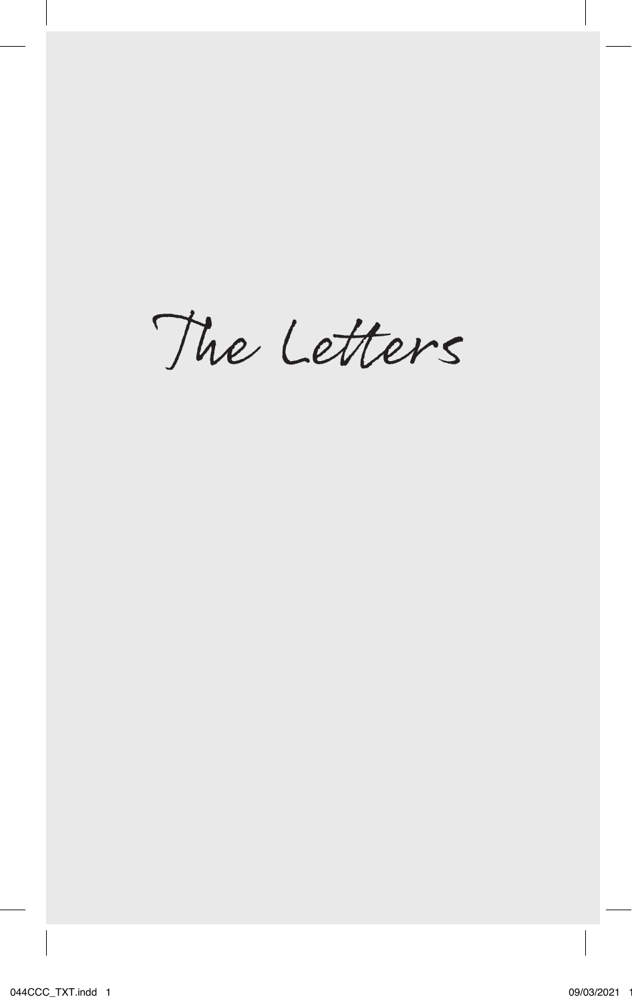The Letters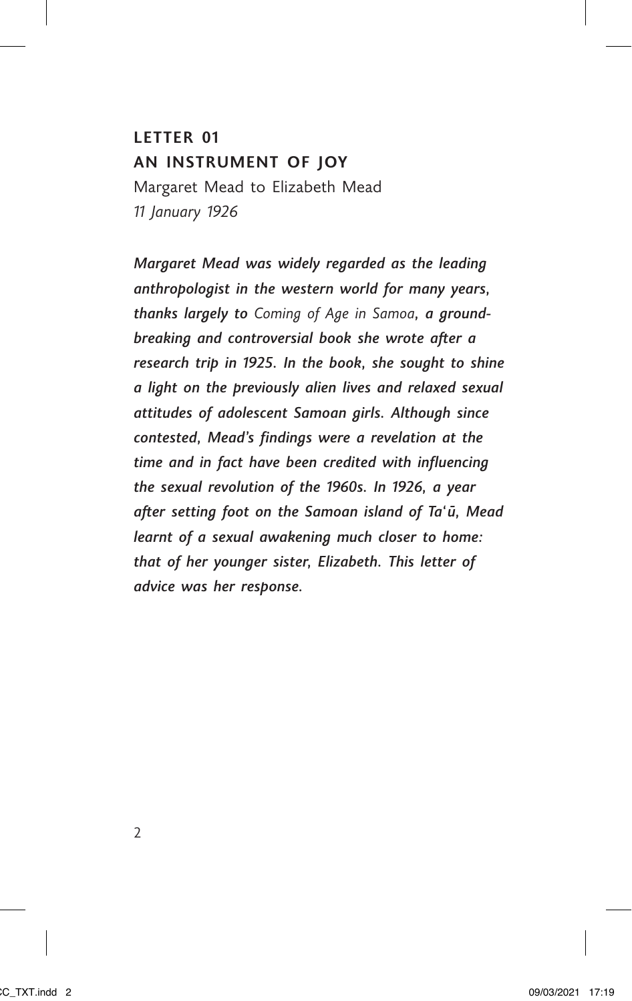## **LETTER 01 AN INSTRUMENT OF JOY**

Margaret Mead to Elizabeth Mead *11 January 1926*

*Margaret Mead was widely regarded as the leading anthropologist in the western world for many years, thanks largely to Coming of Age in Samoa, a groundbreaking and controversial book she wrote after a research trip in 1925. In the book, she sought to shine a light on the previously alien lives and relaxed sexual attitudes of adolescent Samoan girls. Although since contested, Mead's findings were a revelation at the time and in fact have been credited with influencing the sexual revolution of the 1960s. In 1926, a year after setting foot on the Samoan island of Ta'ū, Mead learnt of a sexual awakening much closer to home: that of her younger sister, Elizabeth. This letter of advice was her response.*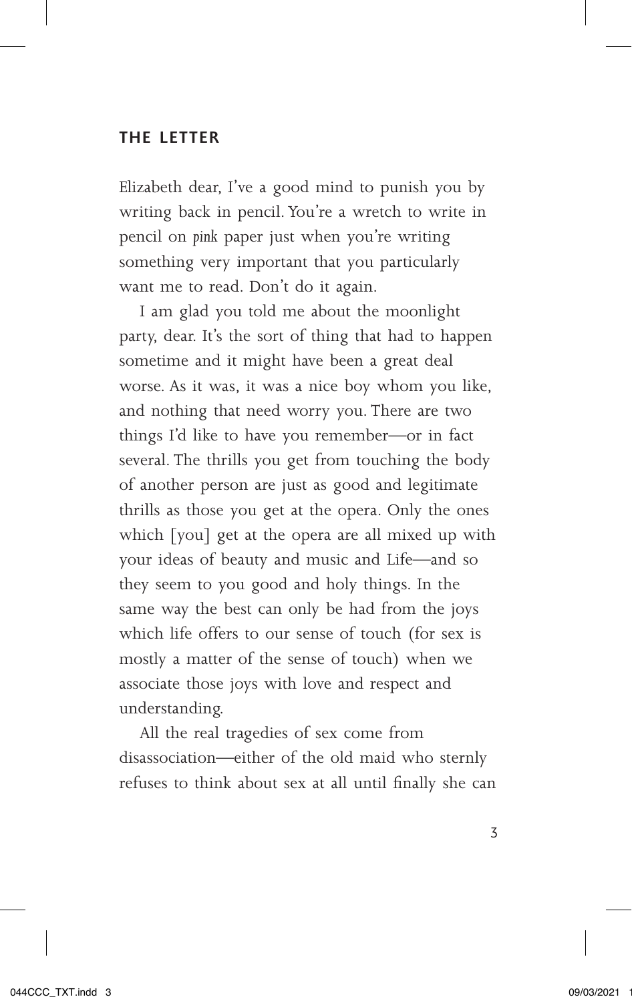### **THE LETTER**

Elizabeth dear, I've a good mind to punish you by writing back in pencil. You're a wretch to write in pencil on *pink* paper just when you're writing something very important that you particularly want me to read. Don't do it again.

I am glad you told me about the moonlight party, dear. It's the sort of thing that had to happen sometime and it might have been a great deal worse. As it was, it was a nice boy whom you like, and nothing that need worry you. There are two things I'd like to have you remember—or in fact several. The thrills you get from touching the body of another person are just as good and legitimate thrills as those you get at the opera. Only the ones which [you] get at the opera are all mixed up with your ideas of beauty and music and Life—and so they seem to you good and holy things. In the same way the best can only be had from the joys which life offers to our sense of touch (for sex is mostly a matter of the sense of touch) when we associate those joys with love and respect and understanding.

All the real tragedies of sex come from disassociation—either of the old maid who sternly refuses to think about sex at all until finally she can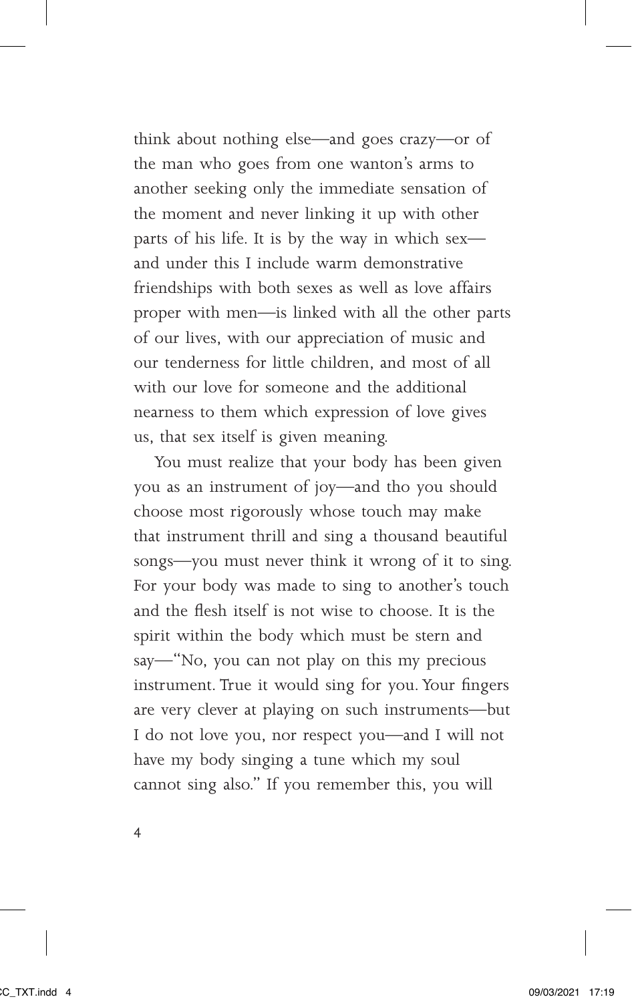think about nothing else—and goes crazy—or of the man who goes from one wanton's arms to another seeking only the immediate sensation of the moment and never linking it up with other parts of his life. It is by the way in which sex and under this I include warm demonstrative friendships with both sexes as well as love affairs proper with men—is linked with all the other parts of our lives, with our appreciation of music and our tenderness for little children, and most of all with our love for someone and the additional nearness to them which expression of love gives us, that sex itself is given meaning.

You must realize that your body has been given you as an instrument of joy—and tho you should choose most rigorously whose touch may make that instrument thrill and sing a thousand beautiful songs—you must never think it wrong of it to sing. For your body was made to sing to another's touch and the flesh itself is not wise to choose. It is the spirit within the body which must be stern and say—"No, you can not play on this my precious instrument. True it would sing for you. Your fingers are very clever at playing on such instruments—but I do not love you, nor respect you—and I will not have my body singing a tune which my soul cannot sing also." If you remember this, you will

4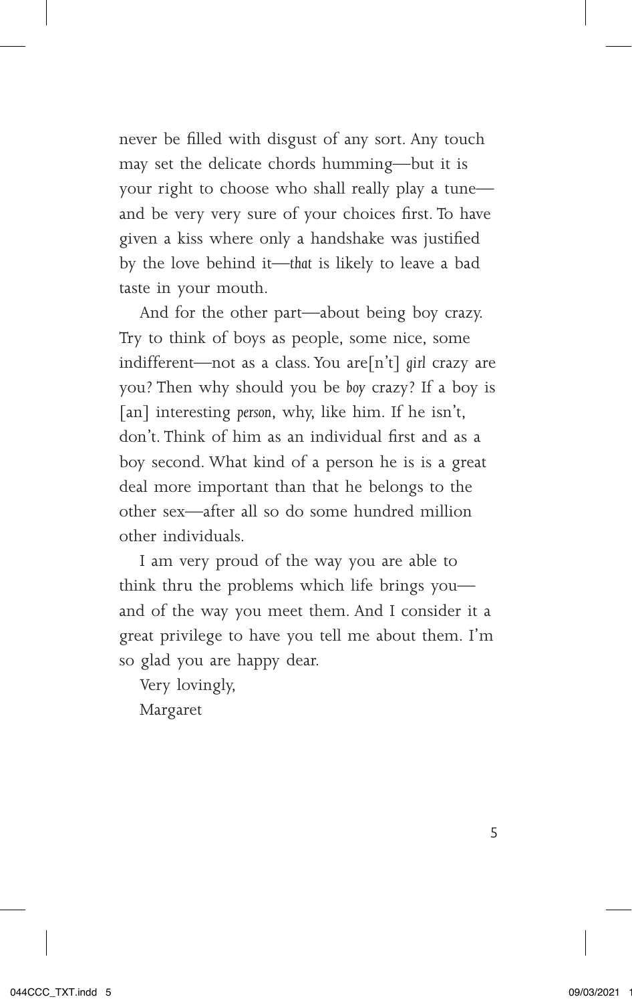never be filled with disgust of any sort. Any touch may set the delicate chords humming—but it is your right to choose who shall really play a tune and be very very sure of your choices first. To have given a kiss where only a handshake was justified by the love behind it—*that* is likely to leave a bad taste in your mouth.

And for the other part—about being boy crazy. Try to think of boys as people, some nice, some indifferent—not as a class. You are[n't] *girl* crazy are you? Then why should you be *boy* crazy? If a boy is [an] interesting person, why, like him. If he isn't, don't. Think of him as an individual first and as a boy second. What kind of a person he is is a great deal more important than that he belongs to the other sex—after all so do some hundred million other individuals.

I am very proud of the way you are able to think thru the problems which life brings you and of the way you meet them. And I consider it a great privilege to have you tell me about them. I'm so glad you are happy dear.

Very lovingly,

Margaret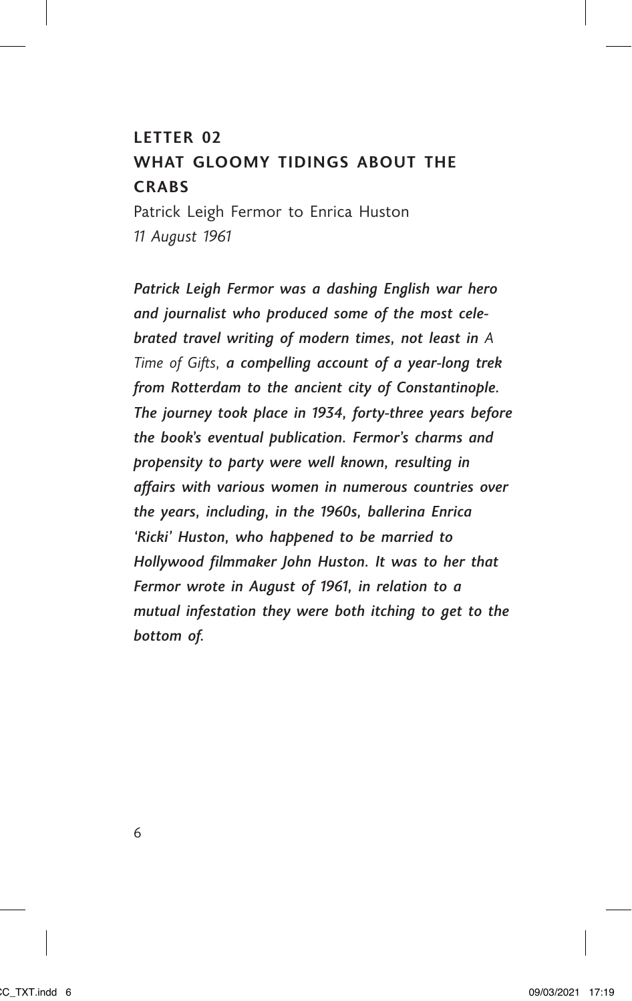### **LETTER 02**

# **WHAT GLOOMY TIDINGS ABOUT THE CRABS**

Patrick Leigh Fermor to Enrica Huston *11 August 1961*

*Patrick Leigh Fermor was a dashing English war hero and journalist who produced some of the most celebrated travel writing of modern times, not least in A Time of Gifts, a compelling account of a year-long trek from Rotterdam to the ancient city of Constantinople. The journey took place in 1934, forty-three years before the book's eventual publication. Fermor's charms and propensity to party were well known, resulting in affairs with various women in numerous countries over the years, including, in the 1960s, ballerina Enrica 'Ricki' Huston, who happened to be married to Hollywood filmmaker John Huston. It was to her that Fermor wrote in August of 1961, in relation to a mutual infestation they were both itching to get to the bottom of.*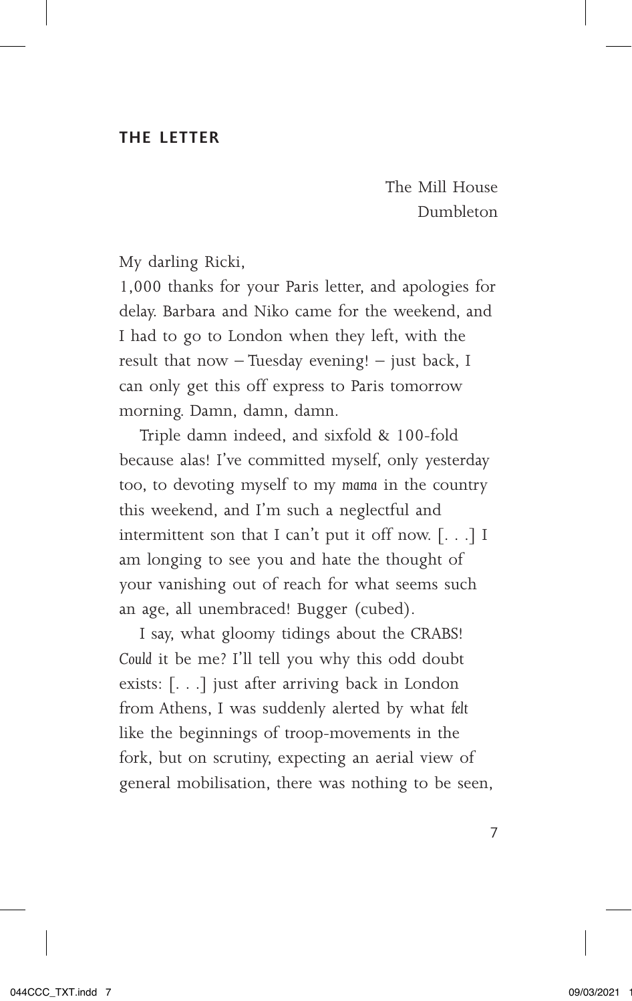#### **THE LETTER**

The Mill House Dumbleton

My darling Ricki,

1,000 thanks for your Paris letter, and apologies for delay. Barbara and Niko came for the weekend, and I had to go to London when they left, with the result that now – Tuesday evening! – just back, I can only get this off express to Paris tomorrow morning. Damn, damn, damn.

Triple damn indeed, and sixfold & 100-fold because alas! I've committed myself, only yesterday too, to devoting myself to my *mama* in the country this weekend, and I'm such a neglectful and intermittent son that I can't put it off now. [. . .] I am longing to see you and hate the thought of your vanishing out of reach for what seems such an age, all unembraced! Bugger (cubed).

I say, what gloomy tidings about the CRABS! *Could* it be me? I'll tell you why this odd doubt exists: [. . .] just after arriving back in London from Athens, I was suddenly alerted by what *felt* like the beginnings of troop-movements in the fork, but on scrutiny, expecting an aerial view of general mobilisation, there was nothing to be seen,

7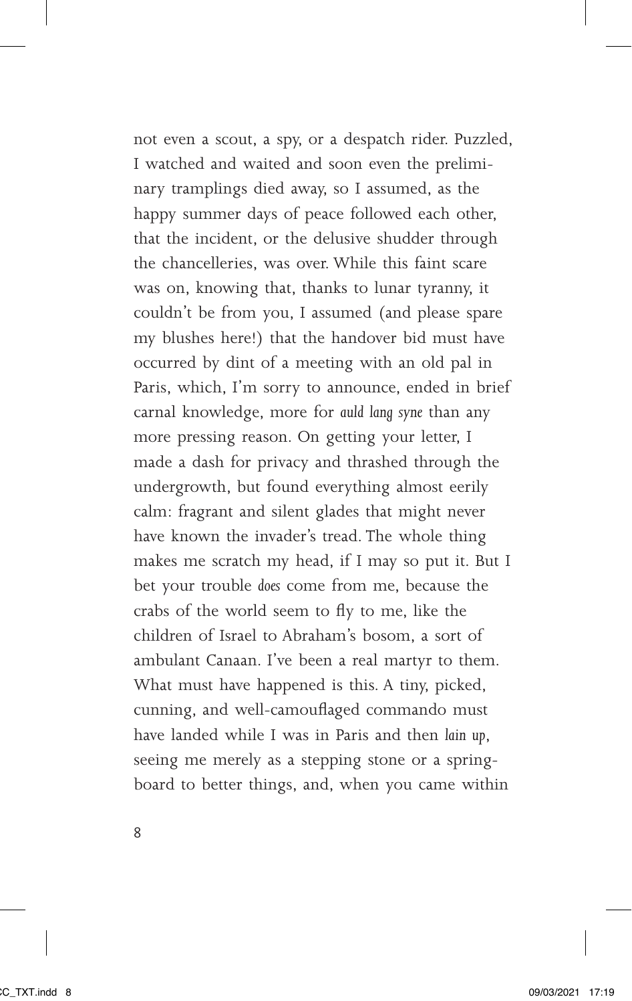not even a scout, a spy, or a despatch rider. Puzzled, I watched and waited and soon even the preliminary tramplings died away, so I assumed, as the happy summer days of peace followed each other, that the incident, or the delusive shudder through the chancelleries, was over. While this faint scare was on, knowing that, thanks to lunar tyranny, it couldn't be from you, I assumed (and please spare my blushes here!) that the handover bid must have occurred by dint of a meeting with an old pal in Paris, which, I'm sorry to announce, ended in brief carnal knowledge, more for *auld lang syne* than any more pressing reason. On getting your letter, I made a dash for privacy and thrashed through the undergrowth, but found everything almost eerily calm: fragrant and silent glades that might never have known the invader's tread. The whole thing makes me scratch my head, if I may so put it. But I bet your trouble *does* come from me, because the crabs of the world seem to fly to me, like the children of Israel to Abraham's bosom, a sort of ambulant Canaan. I've been a real martyr to them. What must have happened is this. A tiny, picked, cunning, and well-camouflaged commando must have landed while I was in Paris and then *lain up*, seeing me merely as a stepping stone or a springboard to better things, and, when you came within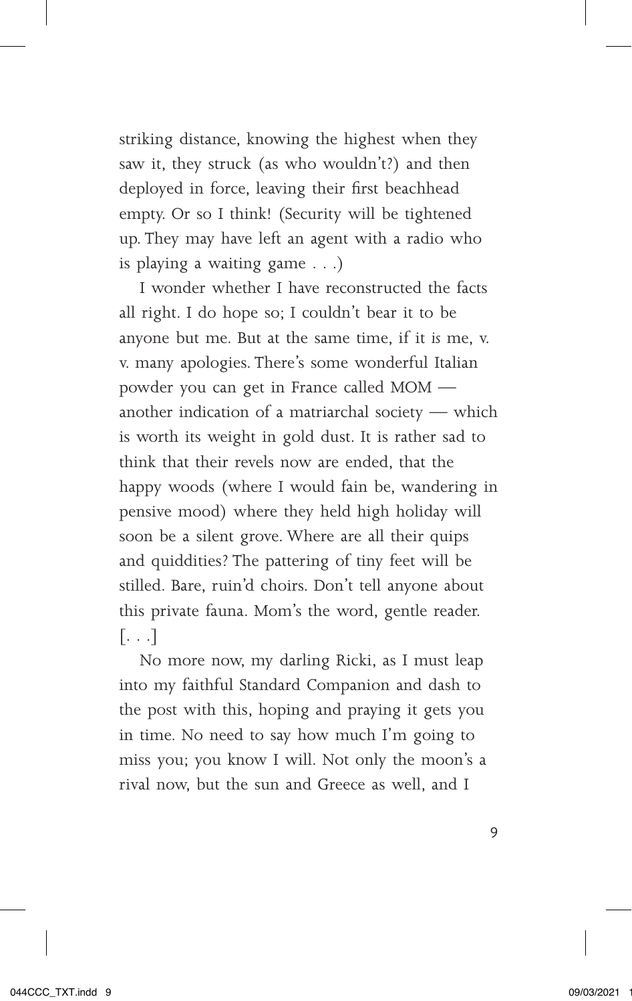striking distance, knowing the highest when they saw it, they struck (as who wouldn't?) and then deployed in force, leaving their first beachhead empty. Or so I think! (Security will be tightened up. They may have left an agent with a radio who is playing a waiting game . . .)

I wonder whether I have reconstructed the facts all right. I do hope so; I couldn't bear it to be anyone but me. But at the same time, if it *is* me, v. v. many apologies. There's some wonderful Italian powder you can get in France called MOM another indication of a matriarchal society — which is worth its weight in gold dust. It is rather sad to think that their revels now are ended, that the happy woods (where I would fain be, wandering in pensive mood) where they held high holiday will soon be a silent grove. Where are all their quips and quiddities? The pattering of tiny feet will be stilled. Bare, ruin'd choirs. Don't tell anyone about this private fauna. Mom's the word, gentle reader. [. . .]

No more now, my darling Ricki, as I must leap into my faithful Standard Companion and dash to the post with this, hoping and praying it gets you in time. No need to say how much I'm going to miss you; you know I will. Not only the moon's a rival now, but the sun and Greece as well, and I